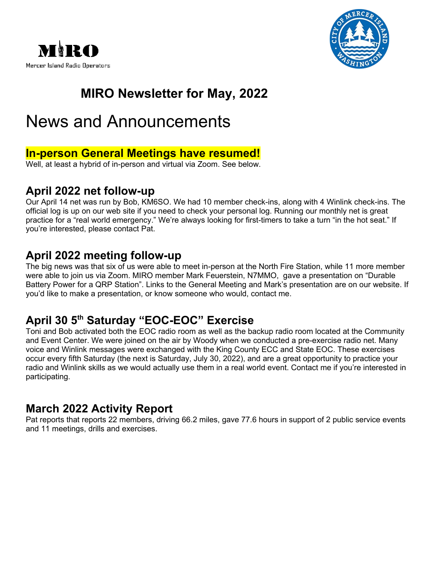



## **MIRO Newsletter for May, 2022**

## News and Announcements

#### **In-person General Meetings have resumed!**

Well, at least a hybrid of in-person and virtual via Zoom. See below.

#### **April 2022 net follow-up**

Our April 14 net was run by Bob, KM6SO. We had 10 member check-ins, along with 4 Winlink check-ins. The [official log](https://miro.cmivolunteers.org/wp-content/uploads/2022/03/ICS-309-MIRO-Emergency-Net-March-10-2022.pdf) is up on our web site if you need to check your personal log. Running our monthly net is great practice for a "real world emergency." We're always looking for first-timers to take a turn "in the hot seat." If you're interested, please contact Pat.

#### **April 2022 meeting follow-up**

The big news was that six of us were able to meet in-person at the North Fire Station, while 11 more member were able to join us via Zoom. MIRO member Mark Feuerstein, N7MMO, gave a presentation on "Durable Battery Power for a QRP Station". Links to the General Meeting and Mark's presentation are on our [website.](https://miro.cmivolunteers.org/2022/03/18/march-17-2022-general-meeting-follow-up/) If you'd like to make a presentation, or know someone who would, contact me.

#### **April 30 5th Saturday "EOC-EOC" Exercise**

Toni and Bob activated both the EOC radio room as well as the backup radio room located at the Community and Event Center. We were joined on the air by Woody when we conducted a pre-exercise radio net. Many voice and Winlink messages were exchanged with the King County ECC and State EOC. These exercises occur every fifth Saturday (the next is Saturday, July 30, 2022), and are a great opportunity to practice your radio and Winlink skills as we would actually use them in a real world event. Contact me if you're interested in participating.

#### **March 2022 Activity Report**

Pat reports that reports 22 members, driving 66.2 miles, gave 77.6 hours in support of 2 public service events and 11 meetings, drills and exercises.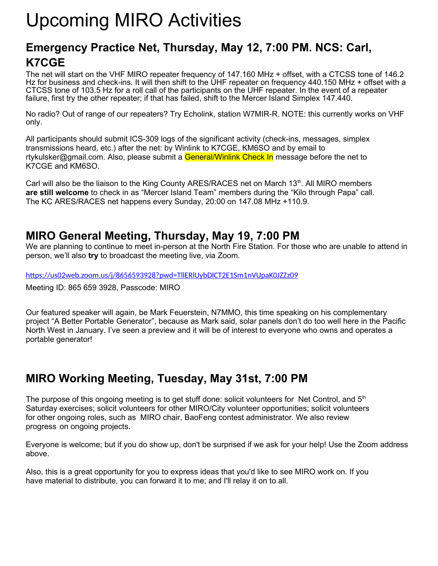# Upcoming MIRO Activities

#### **Emergency Practice Net, Thursday, May 12, 7:00 PM. NCS: Carl, K7CGE**

The net will start on the VHF MIRO repeater frequency of 147.160 MHz + offset, with a CTCSS tone of 146.2 Hz for business and check-ins. It will then shift to the UHF repeater on frequency 440.150 MHz + offset with a CTCSS tone of 103.5 Hz for a roll call of the participants on the UHF repeater. In the event of a repeater failure, first try the other repeater; if that has failed, shift to the Mercer Island Simplex 147.440.

No radio? Out of range of our repeaters? Try Echolink, station W7MIR-R. NOTE: this currently works on VHF only.

All participants should submit ICS-309 logs of the significant activity (check-ins, messages, simplex transmissions heard, etc.) after the net: by Winlink to K7CGE, KM6SO and by email to [rtykulsker@gmail.com.](mailto:rtykulsker@gmail.com) Also, please submit a General/Winlink Check In message before the net to K7CGE and KM6SO.

Carl will also be the liaison to the King County ARES/RACES net on March  $13<sup>th</sup>$ . All MIRO members **are still welcome** to check in as "Mercer Island Team" members during the "Kilo through Papa" call. The KC ARES/RACES net happens every Sunday, 20:00 on 147.08 MHz +110.9.

#### **MIRO General Meeting, Thursday, May 19, 7:00 PM**

We are planning to continue to meet in-person at the North Fire Station. For those who are unable to attend in person, we'll also **try** to broadcast the meeting live, via Zoom.

<https://us02web.zoom.us/j/8656593928?pwd=TllERlUybDlCT2E1Sm1nVUpaK0JZZz09>

Meeting ID: 865 659 3928, Passcode: MIRO

Our featured speaker will again, be Mark Feuerstein, N7MMO, this time speaking on his complementary project "A Better Portable Generator", because as Mark said, solar panels don't do too well here in the Pacific North West in January. I've seen a preview and it will be of interest to everyone who owns and operates a portable generator!

#### **MIRO Working Meeting, Tuesday, May 31st, 7:00 PM**

The purpose of this ongoing meeting is to get stuff done: solicit volunteers for Net Control, and  $5<sup>th</sup>$ Saturday exercises; solicit volunteers for other MIRO/City volunteer opportunities; solicit volunteers for other ongoing roles, such as MIRO chair, BaoFeng contest administrator. We also review progress on ongoing projects.

Everyone is welcome; but if you do show up, don't be surprised if we ask for your help! Use the Zoom address above.

Also, this is a great opportunity for you to express ideas that you'd like to see MIRO work on. If you have material to distribute, you can forward it to me; and I'll relay it on to all.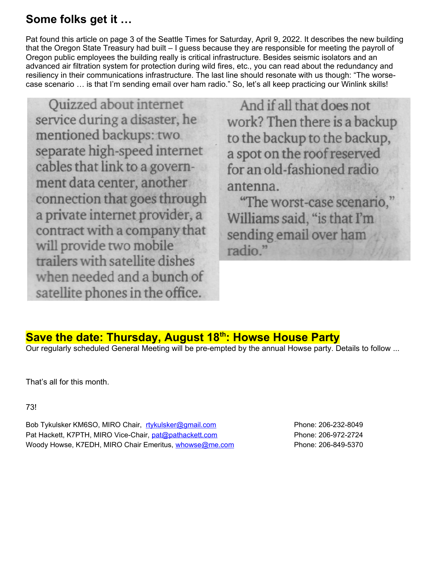#### **Some folks get it …**

Pat found this article on page 3 of the Seattle Times for Saturday, April 9, 2022. It describes the new building that the Oregon State Treasury had built – I guess because they are responsible for meeting the payroll of Oregon public employees the building really is critical infrastructure. Besides seismic isolators and an advanced air filtration system for protection during wild fires, etc., you can read about the redundancy and resiliency in their communications infrastructure. The last line should resonate with us though: "The worsecase scenario … is that I'm sending email over ham radio." So, let's all keep practicing our Winlink skills!

Quizzed about internet service during a disaster, he mentioned backups: two separate high-speed internet cables that link to a government data center, another connection that goes through a private internet provider, a contract with a company that will provide two mobile trailers with satellite dishes when needed and a bunch of satellite phones in the office.

And if all that does not work? Then there is a backup to the backup to the backup, a spot on the roof reserved for an old-fashioned radio antenna.

"The worst-case scenario," Williams said, "is that I'm sending email over ham radio."

#### **Save the date: Thursday, August 18th: Howse House Party**

Our regularly scheduled General Meeting will be pre-empted by the annual Howse party. Details to follow ...

That's all for this month.

73!

Bob Tykulsker KM6SO, MIRO Chair, [rtykulsker@gmail.com](mailto:rtykulsker@gmail.com) Phone: 206-232-8049 Pat Hackett, K7PTH, MIRO Vice-Chair, [pat@pathackett.com](mailto:pat@pathackett.com) Phone: 206-972-2724 Woody Howse, K7EDH, MIRO Chair Emeritus, [whowse@me.com](mailto:whowse@me.com) Phone: 206-849-5370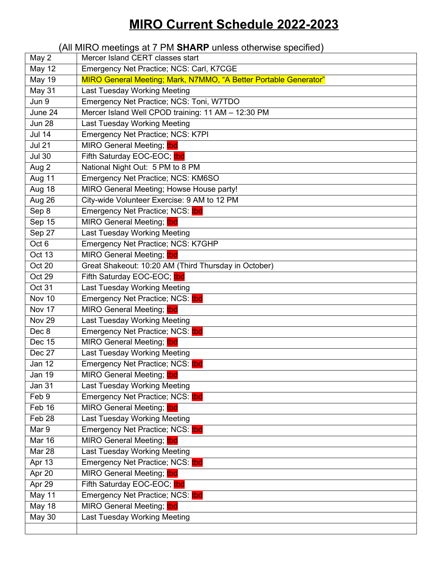## **MIRO Current Schedule 2022-2023**

#### (All MIRO meetings at 7 PM **SHARP** unless otherwise specified)

| May 2            | Mercer Island CERT classes start                                 |
|------------------|------------------------------------------------------------------|
| <b>May 12</b>    | Emergency Net Practice; NCS: Carl, K7CGE                         |
| <b>May 19</b>    | MIRO General Meeting; Mark, N7MMO, "A Better Portable Generator" |
| May $31$         | <b>Last Tuesday Working Meeting</b>                              |
| Jun 9            | Emergency Net Practice; NCS: Toni, W7TDO                         |
| June 24          | Mercer Island Well CPOD training: 11 AM - 12:30 PM               |
| <b>Jun 28</b>    | <b>Last Tuesday Working Meeting</b>                              |
| <b>Jul 14</b>    | Emergency Net Practice; NCS: K7PI                                |
| <b>Jul 21</b>    | MIRO General Meeting; tbd                                        |
| <b>Jul 30</b>    | Fifth Saturday EOC-EOC; tbd                                      |
| Aug 2            | National Night Out: 5 PM to 8 PM                                 |
| Aug 11           | Emergency Net Practice; NCS: KM6SO                               |
| Aug 18           | MIRO General Meeting; Howse House party!                         |
| Aug 26           | City-wide Volunteer Exercise: 9 AM to 12 PM                      |
| Sep 8            | Emergency Net Practice; NCS: tbd                                 |
| Sep 15           | MIRO General Meeting; tbd                                        |
| Sep 27           | Last Tuesday Working Meeting                                     |
| Oct <sub>6</sub> | Emergency Net Practice; NCS: K7GHP                               |
| Oct 13           | MIRO General Meeting; tbd                                        |
| Oct 20           | Great Shakeout: 10:20 AM (Third Thursday in October)             |
| Oct 29           | Fifth Saturday EOC-EOC; tbd                                      |
| Oct 31           | Last Tuesday Working Meeting                                     |
| Nov 10           | Emergency Net Practice; NCS: tbd                                 |
| Nov 17           | MIRO General Meeting; tbd                                        |
| Nov 29           | Last Tuesday Working Meeting                                     |
| Dec 8            | Emergency Net Practice; NCS: tbd                                 |
| <b>Dec 15</b>    | MIRO General Meeting; tbd                                        |
| Dec 27           | Last Tuesday Working Meeting                                     |
| Jan 12           | Emergency Net Practice; NCS: tbd                                 |
| Jan 19           | MIRO General Meeting; tbd                                        |
| <b>Jan 31</b>    | Last Tuesday Working Meeting                                     |
| Feb 9            | Emergency Net Practice; NCS: tbd                                 |
| Feb 16           | MIRO General Meeting; tbd                                        |
| Feb 28           | Last Tuesday Working Meeting                                     |
| Mar 9            | Emergency Net Practice; NCS: tbd                                 |
| <b>Mar 16</b>    | MIRO General Meeting; thd                                        |
| Mar 28           | Last Tuesday Working Meeting                                     |
| Apr 13           | Emergency Net Practice; NCS: tbd                                 |
| Apr 20           | MIRO General Meeting; tbd                                        |
| Apr 29           | Fifth Saturday EOC-EOC; tbd                                      |
| May 11           | Emergency Net Practice; NCS: tbd                                 |
| May 18           | MIRO General Meeting; tbd                                        |
| <b>May 30</b>    | Last Tuesday Working Meeting                                     |
|                  |                                                                  |